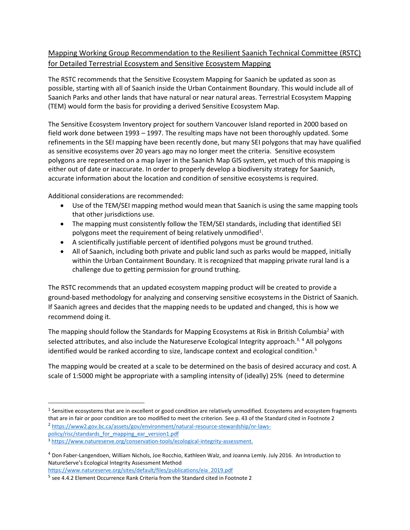## Mapping Working Group Recommendation to the Resilient Saanich Technical Committee (RSTC) for Detailed Terrestrial Ecosystem and Sensitive Ecosystem Mapping

The RSTC recommends that the Sensitive Ecosystem Mapping for Saanich be updated as soon as possible, starting with all of Saanich inside the Urban Containment Boundary. This would include all of Saanich Parks and other lands that have natural or near natural areas. Terrestrial Ecosystem Mapping (TEM) would form the basis for providing a derived Sensitive Ecosystem Map.

The Sensitive Ecosystem Inventory project for southern Vancouver Island reported in 2000 based on field work done between 1993 – 1997. The resulting maps have not been thoroughly updated. Some refinements in the SEI mapping have been recently done, but many SEI polygons that may have qualified as sensitive ecosystems over 20 years ago may no longer meet the criteria. Sensitive ecosystem polygons are represented on a map layer in the Saanich Map GIS system, yet much of this mapping is either out of date or inaccurate. In order to properly develop a biodiversity strategy for Saanich, accurate information about the location and condition of sensitive ecosystems is required.

Additional considerations are recommended:

- Use of the TEM/SEI mapping method would mean that Saanich is using the same mapping tools that other jurisdictions use.
- The mapping must consistently follow the TEM/SEI standards, including that identified SEI polygons meet the requirement of being relatively unmodified<sup>1</sup>.
- A scientifically justifiable percent of identified polygons must be ground truthed.
- All of Saanich, including both private and public land such as parks would be mapped, initially within the Urban Containment Boundary. It is recognized that mapping private rural land is a challenge due to getting permission for ground truthing.

The RSTC recommends that an updated ecosystem mapping product will be created to provide a ground-based methodology for analyzing and conserving sensitive ecosystems in the District of Saanich. If Saanich agrees and decides that the mapping needs to be updated and changed, this is how we recommend doing it.

The mapping should follow the Standards for Mapping Ecosystems at Risk in British Columbia<sup>2</sup> with selected attributes, and also include the Natureserve Ecological Integrity approach.<sup>3, 4</sup> All polygons identified would be ranked according to size, landscape context and ecological condition.<sup>5</sup>

The mapping would be created at a scale to be determined on the basis of desired accuracy and cost. A scale of 1:5000 might be appropriate with a sampling intensity of (ideally) 25% (need to determine

 $<sup>1</sup>$  Sensitive ecosystems that are in excellent or good condition are relatively unmodified. Ecosystems and ecosystem fragments</sup> that are in fair or poor condition are too modified to meet the criterion. See p. 43 of the Standard cited in Footnote 2 <sup>2</sup> [https://www2.gov.bc.ca/assets/gov/environment/natural-resource-stewardship/nr-laws](https://www2.gov.bc.ca/assets/gov/environment/natural-resource-stewardship/nr-laws-policy/risc/standards_for_mapping_ear_version1.pdf)[policy/risc/standards\\_for\\_mapping\\_ear\\_version1.pdf](https://www2.gov.bc.ca/assets/gov/environment/natural-resource-stewardship/nr-laws-policy/risc/standards_for_mapping_ear_version1.pdf)

<sup>3</sup> [https://www.natureserve.org/conservation-tools/ecological-integrity-assessment.](https://www.natureserve.org/conservation-tools/ecological-integrity-assessment)

<sup>4</sup> Don Faber-Langendoen, William Nichols, Joe Rocchio, Kathleen Walz, and Joanna Lemly. July 2016. An Introduction to NatureServe's Ecological Integrity Assessment Method [https://www.natureserve.org/sites/default/files/publications/eia\\_2019.pdf](https://www.natureserve.org/sites/default/files/publications/eia_2019.pdf)

<sup>&</sup>lt;sup>5</sup> see 4.4.2 Element Occurrence Rank Criteria from the Standard cited in Footnote 2